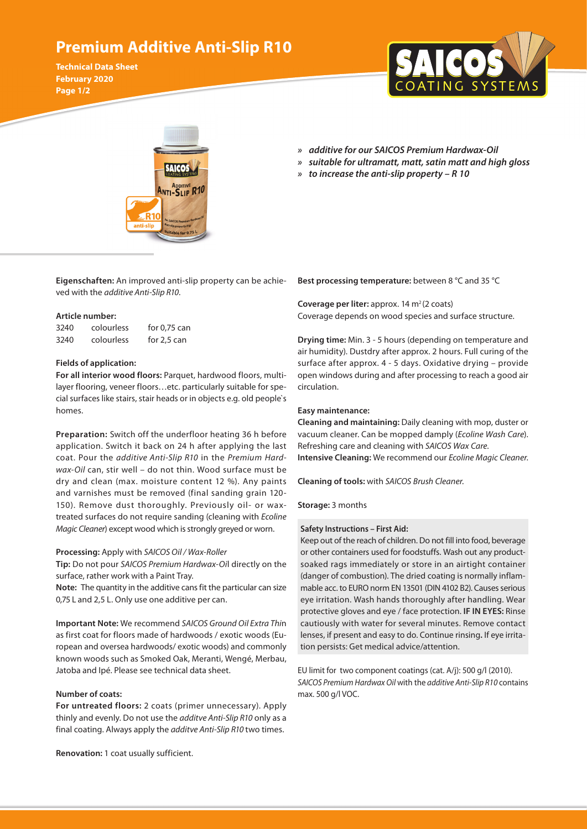# **Premium Additive Anti-Slip R10**

**Technical Data Sheet February 2020 Page 1/2**





- *» additive for our SAICOS Premium Hardwax-Oil » suitable for ultramatt, matt, satin matt and high gloss*
- *» to increase the anti-slip property R 10*

**Eigenschaften:** An improved anti-slip property can be achieved with the *additive Anti-Slip R10*.

#### **Article number:**

| 3240 | colourless | for $0.75$ can |
|------|------------|----------------|
| 3240 | colourless | for $2,5$ can  |

#### **Fields of application:**

**For all interior wood floors:** Parquet, hardwood floors, multilayer flooring, veneer floors…etc. particularly suitable for special surfaces like stairs, stair heads or in objects e.g. old people`s homes.

**Preparation:** Switch off the underfloor heating 36 h before application. Switch it back on 24 h after applying the last coat. Pour the *additive Anti-Slip R10* in the *Premium Hardwax-Oil* can, stir well – do not thin. Wood surface must be dry and clean (max. moisture content 12 %). Any paints and varnishes must be removed (final sanding grain 120- 150). Remove dust thoroughly. Previously oil- or waxtreated surfaces do not require sanding (cleaning with *Ecoline Magic Cleaner*) except wood which is strongly greyed or worn.

#### **Processing:** Apply with *SAICOS Oil / Wax-Roller*

**Tip:** Do not pour *SAICOS Premium Hardwax-Oi*l directly on the surface, rather work with a Paint Tray.

**Note:** The quantity in the additive cans fit the particular can size 0,75 L and 2,5 L. Only use one additive per can.

**Important Note:** We recommend *SAICOS Ground Oil Extra Thi*n as first coat for floors made of hardwoods / exotic woods (European and oversea hardwoods/ exotic woods) and commonly known woods such as Smoked Oak, Meranti, Wengé, Merbau, Jatoba and Ipé. Please see technical data sheet.

### **Number of coats:**

**For untreated floors:** 2 coats (primer unnecessary). Apply thinly and evenly. Do not use the *additve Anti-Slip R10* only as a final coating. Always apply the *additve Anti-Slip R10* two times.

**Renovation:** 1 coat usually sufficient.

**Best processing temperature:** between 8 °C and 35 °C

**Coverage per liter:** approx. 14 m<sup>2</sup> (2 coats) Coverage depends on wood species and surface structure.

**Drying time:** Min. 3 - 5 hours (depending on temperature and air humidity). Dustdry after approx. 2 hours. Full curing of the surface after approx. 4 - 5 days. Oxidative drying – provide open windows during and after processing to reach a good air circulation.

#### **Easy maintenance:**

**Cleaning and maintaining:** Daily cleaning with mop, duster or vacuum cleaner. Can be mopped damply (*Ecoline Wash Care*). Refreshing care and cleaning with *SAICOS Wax Care*. **Intensive Cleaning:** We recommend our *Ecoline Magic Cleaner*.

**Cleaning of tools:** with *SAICOS Brush Cleaner*.

#### **Storage:** 3 months

#### **Safety Instructions – First Aid:**

Keep out of the reach of children. Do not fill into food, beverage or other containers used for foodstuffs. Wash out any productsoaked rags immediately or store in an airtight container (danger of combustion). The dried coating is normally inflammable acc. to EURO norm EN 13501 (DIN 4102 B2). Causes serious eye irritation. Wash hands thoroughly after handling. Wear protective gloves and eye / face protection. **IF IN EYES:** Rinse cautiously with water for several minutes. Remove contact lenses, if present and easy to do. Continue rinsing**.** If eye irritation persists: Get medical advice/attention.

EU limit for two component coatings (cat. A/j): 500 g/l (2010). *SAICOS Premium Hardwax Oil* with the *additive Anti-Slip R10* contains max. 500 g/l VOC.